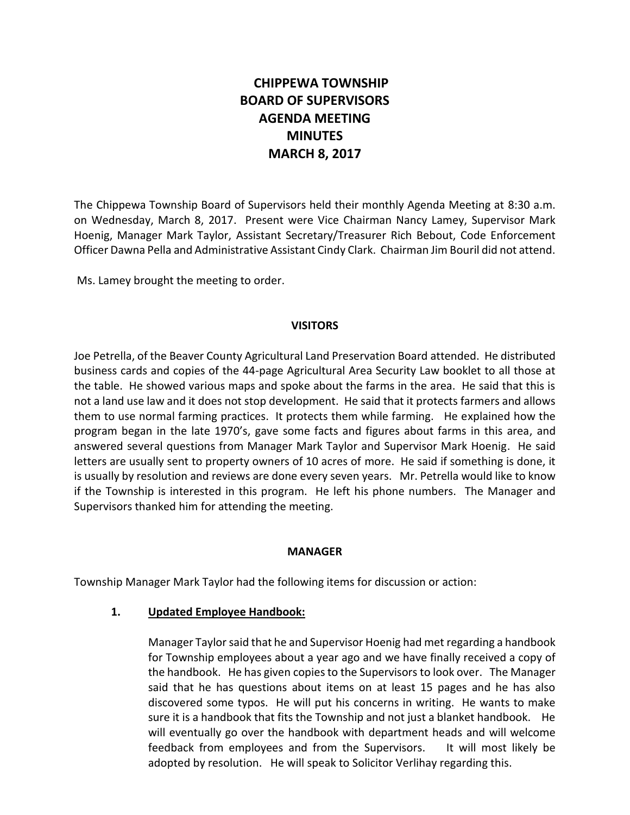# **CHIPPEWA TOWNSHIP BOARD OF SUPERVISORS AGENDA MEETING MINUTES MARCH 8, 2017**

The Chippewa Township Board of Supervisors held their monthly Agenda Meeting at 8:30 a.m. on Wednesday, March 8, 2017. Present were Vice Chairman Nancy Lamey, Supervisor Mark Hoenig, Manager Mark Taylor, Assistant Secretary/Treasurer Rich Bebout, Code Enforcement Officer Dawna Pella and Administrative Assistant Cindy Clark. Chairman Jim Bouril did not attend.

Ms. Lamey brought the meeting to order.

#### **VISITORS**

Joe Petrella, of the Beaver County Agricultural Land Preservation Board attended. He distributed business cards and copies of the 44-page Agricultural Area Security Law booklet to all those at the table. He showed various maps and spoke about the farms in the area. He said that this is not a land use law and it does not stop development. He said that it protects farmers and allows them to use normal farming practices. It protects them while farming. He explained how the program began in the late 1970's, gave some facts and figures about farms in this area, and answered several questions from Manager Mark Taylor and Supervisor Mark Hoenig. He said letters are usually sent to property owners of 10 acres of more. He said if something is done, it is usually by resolution and reviews are done every seven years. Mr. Petrella would like to know if the Township is interested in this program. He left his phone numbers. The Manager and Supervisors thanked him for attending the meeting.

#### **MANAGER**

Township Manager Mark Taylor had the following items for discussion or action:

#### **1. Updated Employee Handbook:**

Manager Taylor said that he and Supervisor Hoenig had met regarding a handbook for Township employees about a year ago and we have finally received a copy of the handbook. He has given copies to the Supervisors to look over. The Manager said that he has questions about items on at least 15 pages and he has also discovered some typos. He will put his concerns in writing. He wants to make sure it is a handbook that fits the Township and not just a blanket handbook. He will eventually go over the handbook with department heads and will welcome feedback from employees and from the Supervisors. It will most likely be adopted by resolution. He will speak to Solicitor Verlihay regarding this.